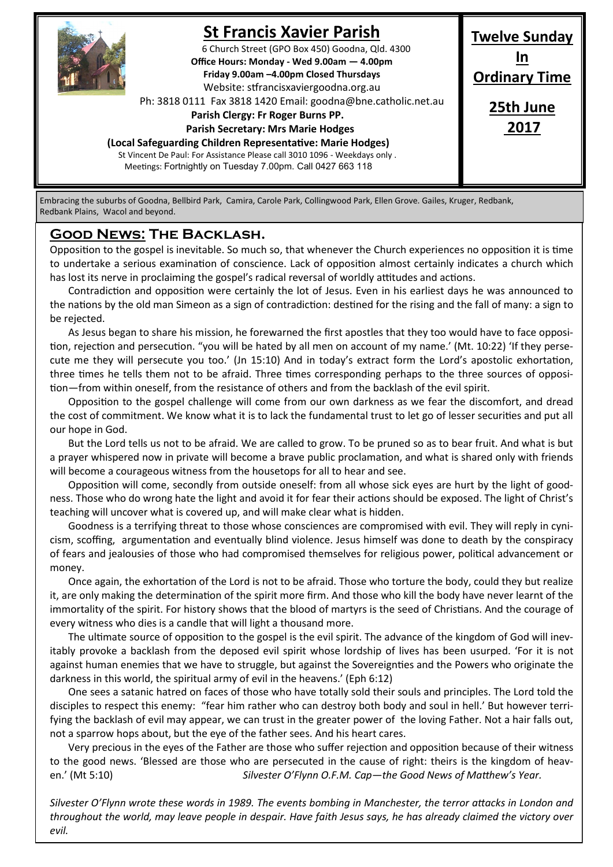

# **St Francis Xavier Parish**

6 Church Street (GPO Box 450) Goodna, Qld. 4300 **Office Hours: Monday - Wed 9.00am — 4.00pm Friday 9.00am –4.00pm Closed Thursdays**  Website: stfrancisxaviergoodna.org.au

Ph: 3818 0111 Fax 3818 1420 Email: goodna@bne.catholic.net.au

 **Parish Clergy: Fr Roger Burns PP.** 

 **Parish Secretary: Mrs Marie Hodges**

**(Local Safeguarding Children Representative: Marie Hodges)**

St Vincent De Paul: For Assistance Please call 3010 1096 - Weekdays only . Meetings: Fortnightly on Tuesday 7.00pm. Call 0427 663 118

**Twelve Sunday In Ordinary Time 25th June 2017**

Embracing the suburbs of Goodna, Bellbird Park, Camira, Carole Park, Collingwood Park, Ellen Grove. Gailes, Kruger, Redbank, Redbank Plains, Wacol and beyond.

#### **Good News: The Backlash.**

Opposition to the gospel is inevitable. So much so, that whenever the Church experiences no opposition it is time to undertake a serious examination of conscience. Lack of opposition almost certainly indicates a church which has lost its nerve in proclaiming the gospel's radical reversal of worldly attitudes and actions.

Contradiction and opposition were certainly the lot of Jesus. Even in his earliest days he was announced to the nations by the old man Simeon as a sign of contradiction: destined for the rising and the fall of many: a sign to be rejected.

As Jesus began to share his mission, he forewarned the first apostles that they too would have to face opposition, rejection and persecution. "you will be hated by all men on account of my name.' (Mt. 10:22) 'If they persecute me they will persecute you too.' (Jn 15:10) And in today's extract form the Lord's apostolic exhortation, three times he tells them not to be afraid. Three times corresponding perhaps to the three sources of opposition—from within oneself, from the resistance of others and from the backlash of the evil spirit.

Opposition to the gospel challenge will come from our own darkness as we fear the discomfort, and dread the cost of commitment. We know what it is to lack the fundamental trust to let go of lesser securities and put all our hope in God.

But the Lord tells us not to be afraid. We are called to grow. To be pruned so as to bear fruit. And what is but a prayer whispered now in private will become a brave public proclamation, and what is shared only with friends will become a courageous witness from the housetops for all to hear and see.

Opposition will come, secondly from outside oneself: from all whose sick eyes are hurt by the light of goodness. Those who do wrong hate the light and avoid it for fear their actions should be exposed. The light of Christ's teaching will uncover what is covered up, and will make clear what is hidden.

Goodness is a terrifying threat to those whose consciences are compromised with evil. They will reply in cynicism, scoffing, argumentation and eventually blind violence. Jesus himself was done to death by the conspiracy of fears and jealousies of those who had compromised themselves for religious power, political advancement or money.

Once again, the exhortation of the Lord is not to be afraid. Those who torture the body, could they but realize it, are only making the determination of the spirit more firm. And those who kill the body have never learnt of the immortality of the spirit. For history shows that the blood of martyrs is the seed of Christians. And the courage of every witness who dies is a candle that will light a thousand more.

The ultimate source of opposition to the gospel is the evil spirit. The advance of the kingdom of God will inevitably provoke a backlash from the deposed evil spirit whose lordship of lives has been usurped. 'For it is not against human enemies that we have to struggle, but against the Sovereignties and the Powers who originate the darkness in this world, the spiritual army of evil in the heavens.' (Eph 6:12)

One sees a satanic hatred on faces of those who have totally sold their souls and principles. The Lord told the disciples to respect this enemy: "fear him rather who can destroy both body and soul in hell.' But however terrifying the backlash of evil may appear, we can trust in the greater power of the loving Father. Not a hair falls out, not a sparrow hops about, but the eye of the father sees. And his heart cares.

Very precious in the eyes of the Father are those who suffer rejection and opposition because of their witness to the good news. 'Blessed are those who are persecuted in the cause of right: theirs is the kingdom of heaven.' (Mt 5:10) *Silvester O'Flynn O.F.M. Cap—the Good News of Matthew's Year.*

*Silvester O'Flynn wrote these words in 1989. The events bombing in Manchester, the terror attacks in London and throughout the world, may leave people in despair. Have faith Jesus says, he has already claimed the victory over evil.*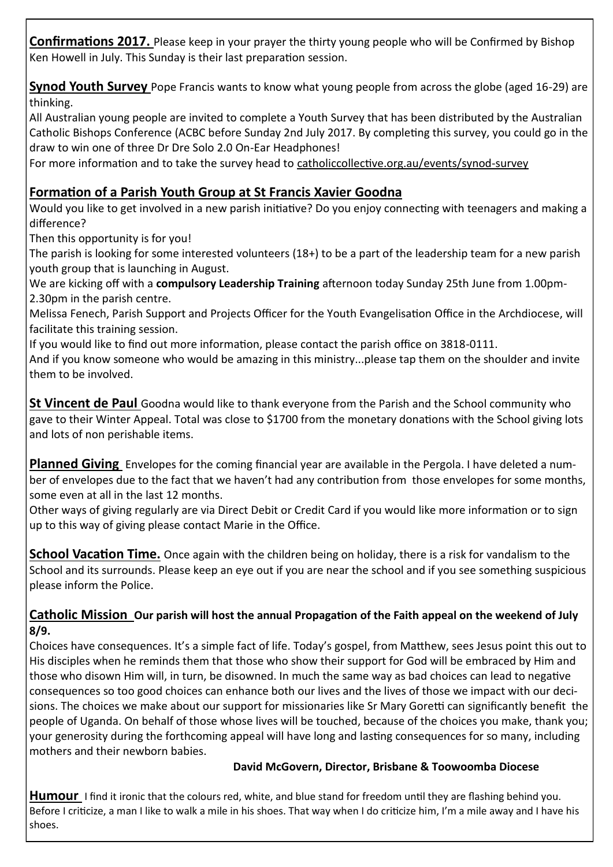**Confirmations 2017.** Please keep in your prayer the thirty young people who will be Confirmed by Bishop Ken Howell in July. This Sunday is their last preparation session.

**Synod Youth Survey** Pope Francis wants to know what young people from across the globe (aged 16-29) are thinking.

All Australian young people are invited to complete a Youth Survey that has been distributed by the Australian Catholic Bishops Conference (ACBC before Sunday 2nd July 2017. By completing this survey, you could go in the draw to win one of three Dr Dre Solo 2.0 On-Ear Headphones!

For more information and to take the survey head to catholiccollective.org.au/events/synod-survey

### **Formation of a Parish Youth Group at St Francis Xavier Goodna**

Would you like to get involved in a new parish initiative? Do you enjoy connecting with teenagers and making a difference?

Then this opportunity is for you!

The parish is looking for some interested volunteers (18+) to be a part of the leadership team for a new parish youth group that is launching in August.

We are kicking off with a **compulsory Leadership Training** afternoon today Sunday 25th June from 1.00pm-2.30pm in the parish centre.

Melissa Fenech, Parish Support and Projects Officer for the Youth Evangelisation Office in the Archdiocese, will facilitate this training session.

If you would like to find out more information, please contact the parish office on 3818-0111.

And if you know someone who would be amazing in this ministry...please tap them on the shoulder and invite them to be involved.

**St Vincent de Paul** Goodna would like to thank everyone from the Parish and the School community who gave to their Winter Appeal. Total was close to \$1700 from the monetary donations with the School giving lots and lots of non perishable items.

**Planned Giving** Envelopes for the coming financial year are available in the Pergola. I have deleted a number of envelopes due to the fact that we haven't had any contribution from those envelopes for some months, some even at all in the last 12 months.

Other ways of giving regularly are via Direct Debit or Credit Card if you would like more information or to sign up to this way of giving please contact Marie in the Office.

**School Vacation Time.** Once again with the children being on holiday, there is a risk for vandalism to the School and its surrounds. Please keep an eye out if you are near the school and if you see something suspicious please inform the Police.

#### **Catholic Mission Our parish will host the annual Propagation of the Faith appeal on the weekend of July 8/9.**

Choices have consequences. It's a simple fact of life. Today's gospel, from Matthew, sees Jesus point this out to His disciples when he reminds them that those who show their support for God will be embraced by Him and those who disown Him will, in turn, be disowned. In much the same way as bad choices can lead to negative consequences so too good choices can enhance both our lives and the lives of those we impact with our decisions. The choices we make about our support for missionaries like Sr Mary Goretti can significantly benefit the people of Uganda. On behalf of those whose lives will be touched, because of the choices you make, thank you; your generosity during the forthcoming appeal will have long and lasting consequences for so many, including mothers and their newborn babies.

#### **David McGovern, Director, Brisbane & Toowoomba Diocese**

**Humour** I find it ironic that the colours red, white, and blue stand for freedom until they are flashing behind you. Before I criticize, a man I like to walk a mile in his shoes. That way when I do criticize him, I'm a mile away and I have his shoes.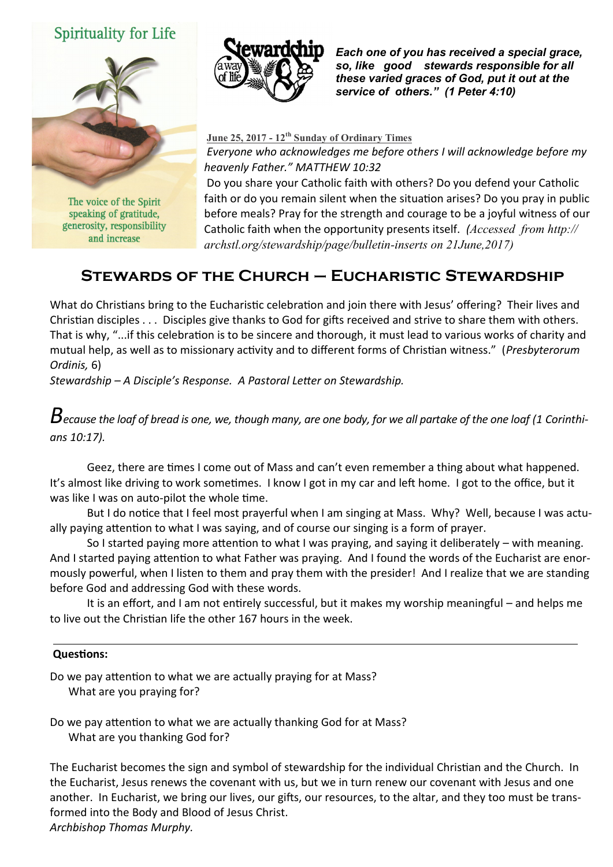## **Spirituality for Life**



The voice of the Spirit speaking of gratitude, generosity, responsibility and increase



*Each one of you has received a special grace, so, like good stewards responsible for all these varied graces of God, put it out at the service of others." (1 Peter 4:10)* 

**June 25, 2017 - 12th Sunday of Ordinary Times** *Everyone who acknowledges me before others I will acknowledge before my heavenly Father." MATTHEW 10:32*

Do you share your Catholic faith with others? Do you defend your Catholic faith or do you remain silent when the situation arises? Do you pray in public before meals? Pray for the strength and courage to be a joyful witness of our Catholic faith when the opportunity presents itself. *(Accessed from http:// archstl.org/stewardship/page/bulletin-inserts on 21June,2017)*

# **Stewards of the Church – Eucharistic Stewardship**

What do Christians bring to the Eucharistic celebration and join there with Jesus' offering? Their lives and Christian disciples . . . Disciples give thanks to God for gifts received and strive to share them with others. That is why, "...if this celebration is to be sincere and thorough, it must lead to various works of charity and mutual help, as well as to missionary activity and to different forms of Christian witness." (*Presbyterorum Ordinis,* 6)

*Stewardship – A Disciple's Response. A Pastoral Letter on Stewardship.*

*Because the loaf of bread is one, we, though many, are one body, for we all partake of the one loaf (1 Corinthians 10:17).*

Geez, there are times I come out of Mass and can't even remember a thing about what happened. It's almost like driving to work sometimes. I know I got in my car and left home. I got to the office, but it was like I was on auto-pilot the whole time.

But I do notice that I feel most prayerful when I am singing at Mass. Why? Well, because I was actually paying attention to what I was saying, and of course our singing is a form of prayer.

So I started paying more attention to what I was praying, and saying it deliberately – with meaning. And I started paying attention to what Father was praying. And I found the words of the Eucharist are enormously powerful, when I listen to them and pray them with the presider! And I realize that we are standing before God and addressing God with these words.

It is an effort, and I am not entirely successful, but it makes my worship meaningful – and helps me to live out the Christian life the other 167 hours in the week.

#### **Questions:**

Do we pay attention to what we are actually praying for at Mass? What are you praying for?

Do we pay attention to what we are actually thanking God for at Mass? What are you thanking God for?

The Eucharist becomes the sign and symbol of stewardship for the individual Christian and the Church. In the Eucharist, Jesus renews the covenant with us, but we in turn renew our covenant with Jesus and one another. In Eucharist, we bring our lives, our gifts, our resources, to the altar, and they too must be transformed into the Body and Blood of Jesus Christ. *Archbishop Thomas Murphy.*